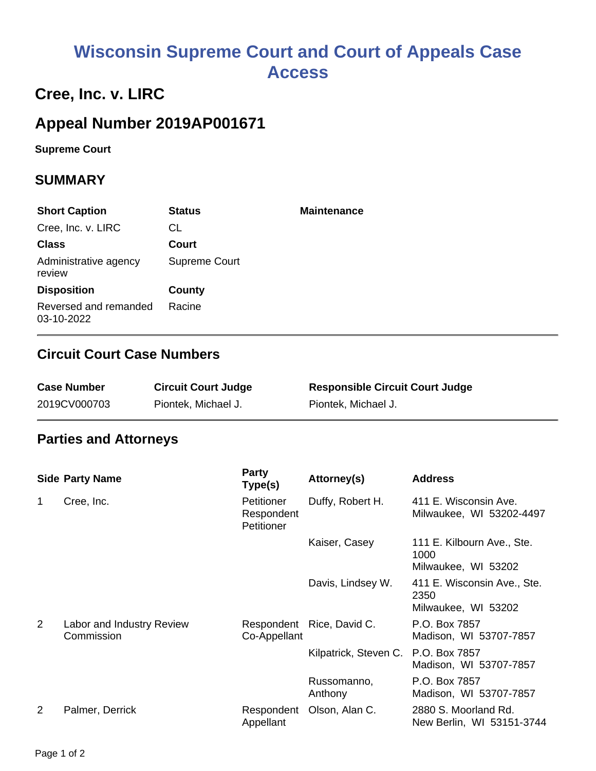# **Wisconsin Supreme Court and Court of Appeals Case Access**

## **Cree, Inc. v. LIRC**

### **Appeal Number 2019AP001671**

**Supreme Court** 

#### **SUMMARY**

| <b>Short Caption</b>                | <b>Status</b> | <b>Maintenance</b> |
|-------------------------------------|---------------|--------------------|
| Cree, Inc. v. LIRC                  | CL.           |                    |
| <b>Class</b>                        | Court         |                    |
| Administrative agency<br>review     | Supreme Court |                    |
| <b>Disposition</b>                  | County        |                    |
| Reversed and remanded<br>03-10-2022 | Racine        |                    |

#### **Circuit Court Case Numbers**

| <b>Case Number</b> | <b>Circuit Court Judge</b> | <b>Responsible Circuit Court Judge</b> |
|--------------------|----------------------------|----------------------------------------|
| 2019CV000703       | Piontek, Michael J.        | Piontek, Michael J.                    |

#### **Parties and Attorneys**

|                | <b>Side Party Name</b>                  | <b>Party</b><br>Type(s)                | Attorney(s)               | <b>Address</b>                                             |
|----------------|-----------------------------------------|----------------------------------------|---------------------------|------------------------------------------------------------|
| 1              | Cree, Inc.                              | Petitioner<br>Respondent<br>Petitioner | Duffy, Robert H.          | 411 E. Wisconsin Ave.<br>Milwaukee, WI 53202-4497          |
|                |                                         |                                        | Kaiser, Casey             | 111 E. Kilbourn Ave., Ste.<br>1000<br>Milwaukee, WI 53202  |
|                |                                         |                                        | Davis, Lindsey W.         | 411 E. Wisconsin Ave., Ste.<br>2350<br>Milwaukee, WI 53202 |
| $\overline{2}$ | Labor and Industry Review<br>Commission | Co-Appellant                           | Respondent Rice, David C. | P.O. Box 7857<br>Madison, WI 53707-7857                    |
|                |                                         |                                        | Kilpatrick, Steven C.     | P.O. Box 7857<br>Madison, WI 53707-7857                    |
|                |                                         |                                        | Russomanno,<br>Anthony    | P.O. Box 7857<br>Madison, WI 53707-7857                    |
| $\overline{2}$ | Palmer, Derrick                         | Respondent<br>Appellant                | Olson, Alan C.            | 2880 S. Moorland Rd.<br>New Berlin, WI 53151-3744          |